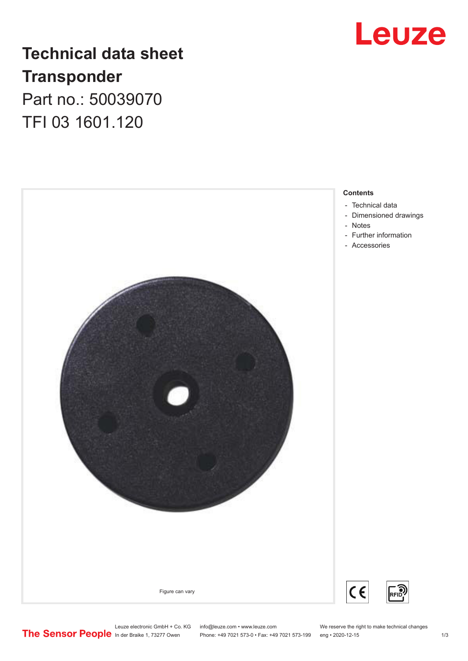

## **Technical data sheet Transponder** Part no.: 50039070

TFI 03 1601.120



- [Technical data](#page-1-0)
- [Dimensioned drawings](#page-1-0)
- [Further information](#page-2-0)
- [Accessories](#page-2-0)

Leuze electronic GmbH + Co. KG info@leuze.com • www.leuze.com We reserve the right to make technical changes<br>
The Sensor People in der Braike 1, 73277 Owen Phone: +49 7021 573-0 • Fax: +49 7021 573-199 eng • 2020-12-15

Phone: +49 7021 573-0 • Fax: +49 7021 573-199 eng • 2020-12-15 1 73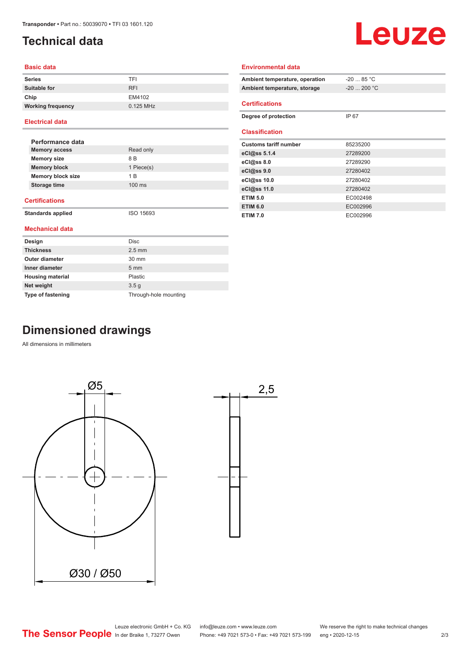## <span id="page-1-0"></span>**Technical data**

# Leuze

#### **Basic data**

| <b>Series</b>            | TFI        |
|--------------------------|------------|
| <b>Suitable for</b>      | <b>RFI</b> |
| Chip                     | EM4102     |
| <b>Working frequency</b> | 0.125 MHz  |

#### **Electrical data**

| Performance data         |                  |  |
|--------------------------|------------------|--|
| <b>Memory access</b>     | Read only        |  |
| <b>Memory size</b>       | 8 B              |  |
| <b>Memory block</b>      | 1 Piece(s)       |  |
| <b>Memory block size</b> | 1 B              |  |
| Storage time             | $100 \text{ ms}$ |  |
|                          |                  |  |

#### **Certifications**

**Standards applied** ISO 15693

#### **Mechanical data**

| Design                   | <b>Disc</b>           |
|--------------------------|-----------------------|
| <b>Thickness</b>         | $2.5 \text{ mm}$      |
| Outer diameter           | $30 \text{ mm}$       |
| Inner diameter           | $5 \text{ mm}$        |
| <b>Housing material</b>  | Plastic               |
| Net weight               | 3.5 <sub>g</sub>      |
| <b>Type of fastening</b> | Through-hole mounting |

| Ambient temperature, operation | $-2085 °C$   |  |  |
|--------------------------------|--------------|--|--|
| Ambient temperature, storage   | $-20$ 200 °C |  |  |
| <b>Certifications</b>          |              |  |  |
| Degree of protection           | IP 67        |  |  |
| <b>Classification</b>          |              |  |  |
| <b>Customs tariff number</b>   | 85235200     |  |  |
| eCl@ss 5.1.4                   | 27289200     |  |  |
| eCl@ss 8.0                     | 27289290     |  |  |
| eCl@ss 9.0                     | 27280402     |  |  |
| eCl@ss 10.0                    | 27280402     |  |  |
| eCl@ss 11.0                    | 27280402     |  |  |
| <b>ETIM 5.0</b>                | EC002498     |  |  |
| <b>ETIM 6.0</b>                | EC002996     |  |  |
| <b>ETIM 7.0</b>                | EC002996     |  |  |

**Environmental data**

## **Dimensioned drawings**

All dimensions in millimeters